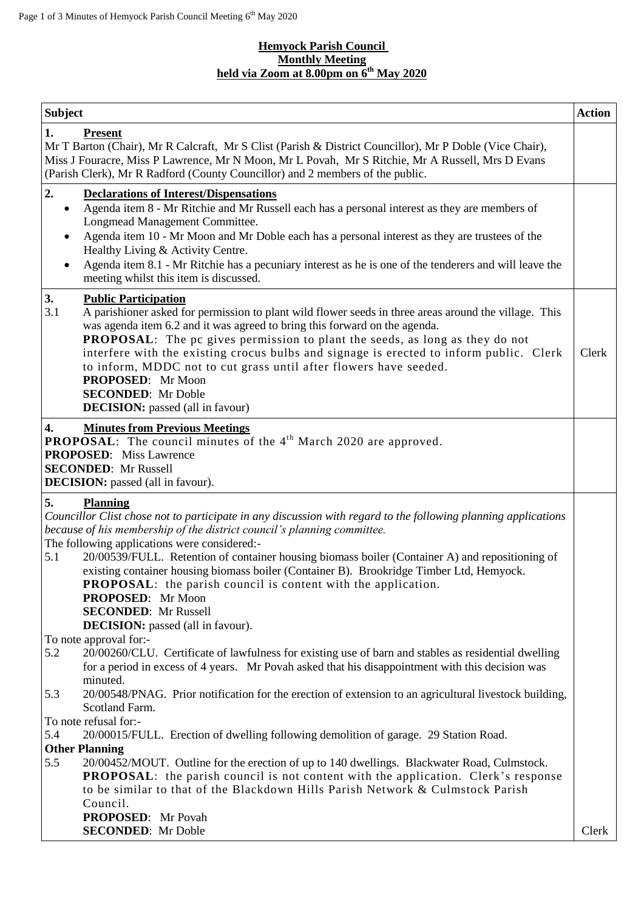#### **Hemyock Parish Council Monthly Meeting held via Zoom at 8.00pm on 6 th May 2020**

| <b>Subject</b>                                                                                                                                                                                                                                                                                                                                                                                                                                                                                                                                                                                                                                                                                                                                                                                                                                                          | <b>Action</b> |
|-------------------------------------------------------------------------------------------------------------------------------------------------------------------------------------------------------------------------------------------------------------------------------------------------------------------------------------------------------------------------------------------------------------------------------------------------------------------------------------------------------------------------------------------------------------------------------------------------------------------------------------------------------------------------------------------------------------------------------------------------------------------------------------------------------------------------------------------------------------------------|---------------|
| 1.<br><b>Present</b><br>Mr T Barton (Chair), Mr R Calcraft, Mr S Clist (Parish & District Councillor), Mr P Doble (Vice Chair),<br>Miss J Fouracre, Miss P Lawrence, Mr N Moon, Mr L Povah, Mr S Ritchie, Mr A Russell, Mrs D Evans<br>(Parish Clerk), Mr R Radford (County Councillor) and 2 members of the public.                                                                                                                                                                                                                                                                                                                                                                                                                                                                                                                                                    |               |
| 2.<br><b>Declarations of Interest/Dispensations</b><br>Agenda item 8 - Mr Ritchie and Mr Russell each has a personal interest as they are members of<br>$\bullet$<br>Longmead Management Committee.<br>Agenda item 10 - Mr Moon and Mr Doble each has a personal interest as they are trustees of the<br>$\bullet$<br>Healthy Living & Activity Centre.<br>Agenda item 8.1 - Mr Ritchie has a pecuniary interest as he is one of the tenderers and will leave the<br>$\bullet$<br>meeting whilst this item is discussed.                                                                                                                                                                                                                                                                                                                                                |               |
| 3.<br><b>Public Participation</b><br>3.1<br>A parishioner asked for permission to plant wild flower seeds in three areas around the village. This<br>was agenda item 6.2 and it was agreed to bring this forward on the agenda.<br><b>PROPOSAL:</b> The pc gives permission to plant the seeds, as long as they do not<br>interfere with the existing crocus bulbs and signage is erected to inform public. Clerk<br>to inform, MDDC not to cut grass until after flowers have seeded.<br>PROPOSED: Mr Moon<br><b>SECONDED:</b> Mr Doble<br><b>DECISION:</b> passed (all in favour)                                                                                                                                                                                                                                                                                     | Clerk         |
| 4.<br><b>Minutes from Previous Meetings</b><br><b>PROPOSAL:</b> The council minutes of the $4th$ March 2020 are approved.<br><b>PROPOSED:</b> Miss Lawrence<br><b>SECONDED:</b> Mr Russell<br><b>DECISION:</b> passed (all in favour).                                                                                                                                                                                                                                                                                                                                                                                                                                                                                                                                                                                                                                  |               |
| 5.<br><b>Planning</b><br>Councillor Clist chose not to participate in any discussion with regard to the following planning applications<br>because of his membership of the district council's planning committee.<br>The following applications were considered:-<br>5.1<br>20/00539/FULL. Retention of container housing biomass boiler (Container A) and repositioning of<br>existing container housing biomass boiler (Container B). Brookridge Timber Ltd, Hemyock.<br><b>PROPOSAL:</b> the parish council is content with the application.<br>PROPOSED: Mr Moon<br><b>SECONDED:</b> Mr Russell<br><b>DECISION:</b> passed (all in favour).                                                                                                                                                                                                                        |               |
| To note approval for:-<br>5.2<br>20/00260/CLU. Certificate of lawfulness for existing use of barn and stables as residential dwelling<br>for a period in excess of 4 years. Mr Povah asked that his disappointment with this decision was<br>minuted.<br>5.3<br>20/00548/PNAG. Prior notification for the erection of extension to an agricultural livestock building,<br>Scotland Farm.<br>To note refusal for:-<br>5.4<br>20/00015/FULL. Erection of dwelling following demolition of garage. 29 Station Road.<br><b>Other Planning</b><br>5.5<br>20/00452/MOUT. Outline for the erection of up to 140 dwellings. Blackwater Road, Culmstock.<br><b>PROPOSAL:</b> the parish council is not content with the application. Clerk's response<br>to be similar to that of the Blackdown Hills Parish Network & Culmstock Parish<br>Council.<br><b>PROPOSED:</b> Mr Povah |               |
| <b>SECONDED:</b> Mr Doble                                                                                                                                                                                                                                                                                                                                                                                                                                                                                                                                                                                                                                                                                                                                                                                                                                               | Clerk         |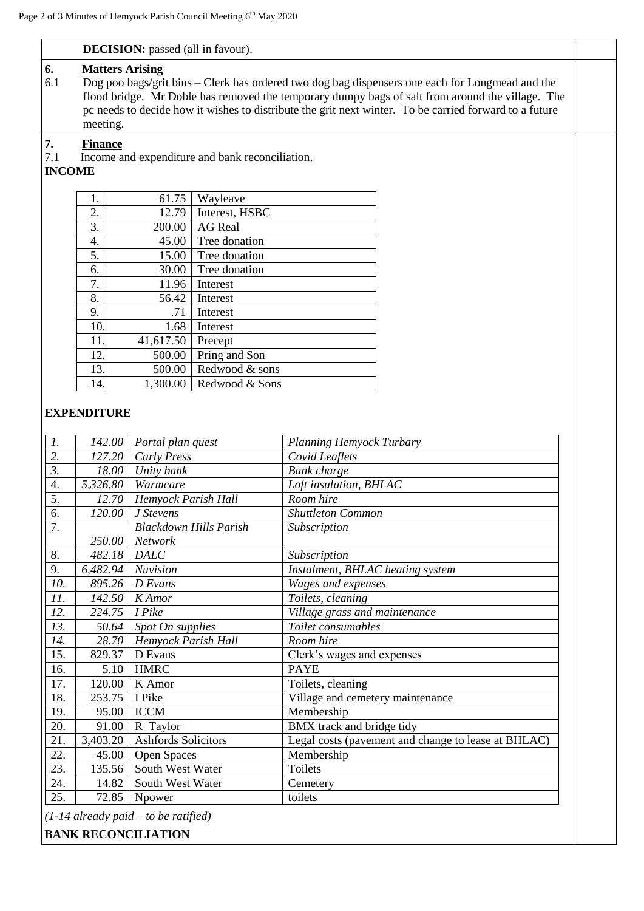13. 500.00 Redwood & sons 14. 1,300.00 Redwood & Sons

|           |                                                                                                                                                                                                                                                                                                                                                     | <b>DECISION:</b> passed (all in favour). |                |  |  |  |  |
|-----------|-----------------------------------------------------------------------------------------------------------------------------------------------------------------------------------------------------------------------------------------------------------------------------------------------------------------------------------------------------|------------------------------------------|----------------|--|--|--|--|
| 6.<br>6.1 | <b>Matters Arising</b><br>Dog poo bags/grit bins – Clerk has ordered two dog bag dispensers one each for Longmead and the<br>flood bridge. Mr Doble has removed the temporary dumpy bags of salt from around the village. The<br>pc needs to decide how it wishes to distribute the grit next winter. To be carried forward to a future<br>meeting. |                                          |                |  |  |  |  |
| 7.<br>7.1 | <b>Finance</b><br>Income and expenditure and bank reconciliation.<br><b>INCOME</b>                                                                                                                                                                                                                                                                  |                                          |                |  |  |  |  |
|           | 1.                                                                                                                                                                                                                                                                                                                                                  | 61.75                                    | Wayleave       |  |  |  |  |
|           | 2.                                                                                                                                                                                                                                                                                                                                                  | 12.79                                    | Interest, HSBC |  |  |  |  |
|           | 3.                                                                                                                                                                                                                                                                                                                                                  | 200.00                                   | <b>AG</b> Real |  |  |  |  |
|           | 4.                                                                                                                                                                                                                                                                                                                                                  | 45.00                                    | Tree donation  |  |  |  |  |
|           | 5.                                                                                                                                                                                                                                                                                                                                                  | 15.00                                    | Tree donation  |  |  |  |  |
|           | 6.                                                                                                                                                                                                                                                                                                                                                  | 30.00                                    | Tree donation  |  |  |  |  |
|           | 7.                                                                                                                                                                                                                                                                                                                                                  | 11.96                                    | Interest       |  |  |  |  |
|           | 8.                                                                                                                                                                                                                                                                                                                                                  | 56.42                                    | Interest       |  |  |  |  |
|           | 9.                                                                                                                                                                                                                                                                                                                                                  | .71                                      | Interest       |  |  |  |  |
|           | 10.                                                                                                                                                                                                                                                                                                                                                 | 1.68                                     | Interest       |  |  |  |  |
|           | 11.                                                                                                                                                                                                                                                                                                                                                 | 41,617.50                                | Precept        |  |  |  |  |
|           | 12.                                                                                                                                                                                                                                                                                                                                                 | 500.00                                   | Pring and Son  |  |  |  |  |

# **EXPENDITURE**

| $\mathcal{I}$ .  | 142.00   | Portal plan quest                             | Planning Hemyock Turbary                            |  |
|------------------|----------|-----------------------------------------------|-----------------------------------------------------|--|
| 2.               | 127.20   | <b>Carly Press</b>                            | Covid Leaflets                                      |  |
| $\overline{3}$ . | 18.00    | Unity bank                                    | <b>Bank</b> charge                                  |  |
| 4.               | 5,326.80 | Warmcare                                      | Loft insulation, BHLAC                              |  |
| 5.               | 12.70    | Hemyock Parish Hall                           | Room hire                                           |  |
| 6.               | 120.00   | J Stevens<br><b>Shuttleton Common</b>         |                                                     |  |
| 7.               |          | <b>Blackdown Hills Parish</b><br>Subscription |                                                     |  |
|                  | 250.00   | Network                                       |                                                     |  |
| 8.               | 482.18   | <b>DALC</b>                                   | Subscription                                        |  |
| 9.               | 6,482.94 | Nuvision<br>Instalment, BHLAC heating system  |                                                     |  |
| 10.              | 895.26   | D Evans                                       | Wages and expenses                                  |  |
| 11.              | 142.50   | Toilets, cleaning<br>K Amor                   |                                                     |  |
| 12.              | 224.75   | Village grass and maintenance<br>I Pike       |                                                     |  |
| 13.              | 50.64    | Toilet consumables<br>Spot On supplies        |                                                     |  |
| 14.              | 28.70    | Hemyock Parish Hall                           | Room hire                                           |  |
| 15.              | 829.37   | D Evans                                       | Clerk's wages and expenses                          |  |
| 16.              | 5.10     | <b>HMRC</b>                                   | <b>PAYE</b>                                         |  |
| 17.              | 120.00   | K Amor                                        | Toilets, cleaning                                   |  |
| 18.              | 253.75   | I Pike                                        | Village and cemetery maintenance                    |  |
| 19.              | 95.00    | <b>ICCM</b>                                   | Membership                                          |  |
| 20.              | 91.00    | R Taylor                                      | BMX track and bridge tidy                           |  |
| 21.              | 3,403.20 | <b>Ashfords Solicitors</b>                    | Legal costs (pavement and change to lease at BHLAC) |  |
| 22.              | 45.00    | Open Spaces                                   | Membership                                          |  |
| 23.              | 135.56   | South West Water                              | Toilets                                             |  |
| 24.              | 14.82    | South West Water                              | Cemetery                                            |  |
| 25.              | 72.85    | Npower                                        | toilets                                             |  |

*(1-14 already paid – to be ratified)*

**BANK RECONCILIATION**